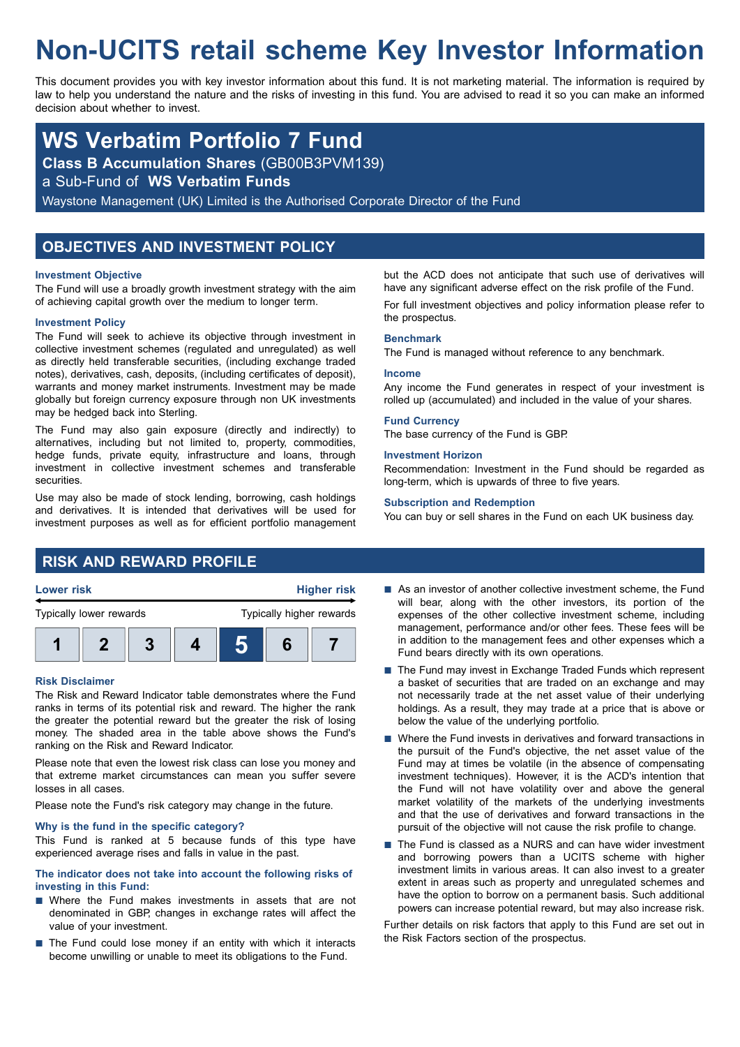# **Non-UCITS retail scheme Key Investor Information**

This document provides you with key investor information about this fund. It is not marketing material. The information is required by law to help you understand the nature and the risks of investing in this fund. You are advised to read it so you can make an informed decision about whether to invest.

## **WS Verbatim Portfolio 7 Fund**

**Class B Accumulation Shares** (GB00B3PVM139)

a Sub-Fund of **WS Verbatim Funds**

Waystone Management (UK) Limited is the Authorised Corporate Director of the Fund

## **OBJECTIVES AND INVESTMENT POLICY**

#### **Investment Objective**

The Fund will use a broadly growth investment strategy with the aim of achieving capital growth over the medium to longer term.

#### **Investment Policy**

The Fund will seek to achieve its objective through investment in collective investment schemes (regulated and unregulated) as well as directly held transferable securities, (including exchange traded notes), derivatives, cash, deposits, (including certificates of deposit), warrants and money market instruments. Investment may be made globally but foreign currency exposure through non UK investments may be hedged back into Sterling.

The Fund may also gain exposure (directly and indirectly) to alternatives, including but not limited to, property, commodities, hedge funds, private equity, infrastructure and loans, through investment in collective investment schemes and transferable securities.

Use may also be made of stock lending, borrowing, cash holdings and derivatives. It is intended that derivatives will be used for investment purposes as well as for efficient portfolio management but the ACD does not anticipate that such use of derivatives will have any significant adverse effect on the risk profile of the Fund. For full investment objectives and policy information please refer to the prospectus.

#### **Benchmark**

The Fund is managed without reference to any benchmark.

#### **Income**

Any income the Fund generates in respect of your investment is rolled up (accumulated) and included in the value of your shares.

#### **Fund Currency**

The base currency of the Fund is GBP.

#### **Investment Horizon**

Recommendation: Investment in the Fund should be regarded as long-term, which is upwards of three to five years.

#### **Subscription and Redemption**

You can buy or sell shares in the Fund on each UK business day.

## **RISK AND REWARD PROFILE**



**1 2 3 4 5 6 7**

### **Risk Disclaimer**

The Risk and Reward Indicator table demonstrates where the Fund ranks in terms of its potential risk and reward. The higher the rank the greater the potential reward but the greater the risk of losing money. The shaded area in the table above shows the Fund's ranking on the Risk and Reward Indicator.

Please note that even the lowest risk class can lose you money and that extreme market circumstances can mean you suffer severe losses in all cases.

Please note the Fund's risk category may change in the future.

#### **Why is the fund in the specific category?**

This Fund is ranked at 5 because funds of this type have experienced average rises and falls in value in the past.

#### **The indicator does not take into account the following risks of investing in this Fund:**

- $\blacksquare$  Where the Fund makes investments in assets that are not denominated in GBP, changes in exchange rates will affect the value of your investment.
- $\blacksquare$  The Fund could lose money if an entity with which it interacts become unwilling or unable to meet its obligations to the Fund.
- $\blacksquare$  As an investor of another collective investment scheme, the Fund will bear, along with the other investors, its portion of the expenses of the other collective investment scheme, including management, performance and/or other fees. These fees will be in addition to the management fees and other expenses which a Fund bears directly with its own operations.
- $\blacksquare$  The Fund may invest in Exchange Traded Funds which represent a basket of securities that are traded on an exchange and may not necessarily trade at the net asset value of their underlying holdings. As a result, they may trade at a price that is above or below the value of the underlying portfolio.
- $\blacksquare$  Where the Fund invests in derivatives and forward transactions in the pursuit of the Fund's objective, the net asset value of the Fund may at times be volatile (in the absence of compensating investment techniques). However, it is the ACD's intention that the Fund will not have volatility over and above the general market volatility of the markets of the underlying investments and that the use of derivatives and forward transactions in the pursuit of the objective will not cause the risk profile to change.
- The Fund is classed as a NURS and can have wider investment and borrowing powers than a UCITS scheme with higher investment limits in various areas. It can also invest to a greater extent in areas such as property and unregulated schemes and have the option to borrow on a permanent basis. Such additional powers can increase potential reward, but may also increase risk.

Further details on risk factors that apply to this Fund are set out in the Risk Factors section of the prospectus.